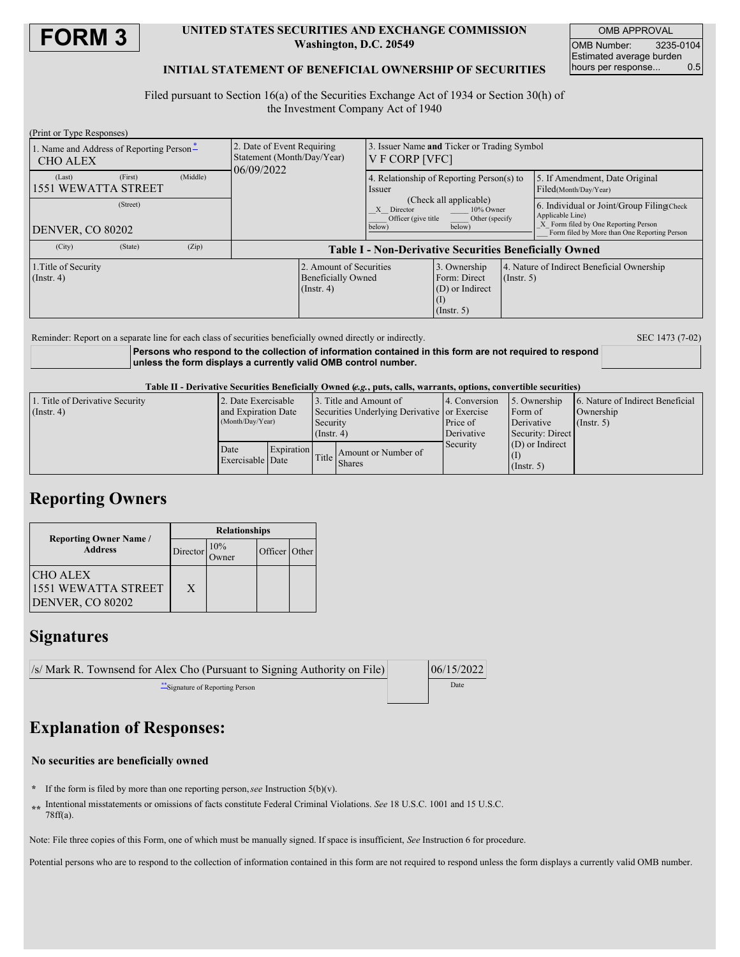

### **UNITED STATES SECURITIES AND EXCHANGE COMMISSION Washington, D.C. 20549**

OMB APPROVAL OMB Number: 3235-0104 Estimated average burden hours per response... 0.5

### **INITIAL STATEMENT OF BENEFICIAL OWNERSHIP OF SECURITIES**

Filed pursuant to Section 16(a) of the Securities Exchange Act of 1934 or Section 30(h) of the Investment Company Act of 1940

| (Print or Type Responses)                                   |                                                                          |                                                               |                                                                     |                  |                                                                                                       |  |
|-------------------------------------------------------------|--------------------------------------------------------------------------|---------------------------------------------------------------|---------------------------------------------------------------------|------------------|-------------------------------------------------------------------------------------------------------|--|
| 1. Name and Address of Reporting Person-<br><b>CHO ALEX</b> | 2. Date of Event Requiring<br>Statement (Month/Day/Year)<br>06/09/2022   | 3. Issuer Name and Ticker or Trading Symbol<br>V F CORP [VFC] |                                                                     |                  |                                                                                                       |  |
| (Middle)<br>(First)<br>(Last)<br><b>1551 WEWATTA STREET</b> |                                                                          | 4. Relationship of Reporting Person(s) to<br>Issuer           |                                                                     |                  | 5. If Amendment, Date Original<br>Filed(Month/Day/Year)                                               |  |
| (Street)                                                    |                                                                          | Director<br>X<br>Officer (give title<br>below)                | (Check all applicable)<br>10% Owner<br>Other (specify<br>below)     |                  | 6. Individual or Joint/Group Filing Check<br>Applicable Line)<br>X Form filed by One Reporting Person |  |
| DENVER, CO 80202                                            |                                                                          |                                                               |                                                                     |                  | Form filed by More than One Reporting Person                                                          |  |
| (City)<br>(State)<br>(Zip)                                  | <b>Table I - Non-Derivative Securities Beneficially Owned</b>            |                                                               |                                                                     |                  |                                                                                                       |  |
| 1. Title of Security<br>$($ Instr. 4 $)$                    | 2. Amount of Securities<br><b>Beneficially Owned</b><br>$($ Instr. 4 $)$ |                                                               | 3. Ownership<br>Form: Direct<br>(D) or Indirect<br>$($ Instr. 5 $)$ | $($ Instr. 5 $)$ | 4. Nature of Indirect Beneficial Ownership                                                            |  |

Reminder: Report on a separate line for each class of securities beneficially owned directly or indirectly. SEC 1473 (7-02)

**Persons who respond to the collection of information contained in this form are not required to respond unless the form displays a currently valid OMB control number.**

Table II - Derivative Securities Beneficially Owned (e.g., puts. calls. warrants, options, convertible securities)

| 1. Title of Derivative Security | 2. Date Exercisable                     |  |                                              | 13. Title and Amount of             | 4. Conversion | 5. Ownership      | 6. Nature of Indirect Beneficial |
|---------------------------------|-----------------------------------------|--|----------------------------------------------|-------------------------------------|---------------|-------------------|----------------------------------|
| $($ Instr. 4 $)$                | and Expiration Date<br>(Month/Day/Year) |  | Securities Underlying Derivative or Exercise |                                     |               | Form of           | Ownership                        |
|                                 |                                         |  | Security                                     |                                     | Price of      | Derivative        | $($ Instr. 5 $)$                 |
|                                 |                                         |  | $($ Instr. 4 $)$                             |                                     | Derivative    | Security: Direct  |                                  |
|                                 | Expiration<br>Date<br>Exercisable Date  |  |                                              | Amount or Number of<br>Title Shares | Security      | $(D)$ or Indirect |                                  |
|                                 |                                         |  |                                              |                                     |               |                   |                                  |
|                                 |                                         |  |                                              |                                     |               | $($ Instr. 5 $)$  |                                  |

## **Reporting Owners**

|                                                            | <b>Relationships</b> |                      |               |  |  |  |
|------------------------------------------------------------|----------------------|----------------------|---------------|--|--|--|
| <b>Reporting Owner Name</b> /<br><b>Address</b>            | Director             | $\frac{10\%}{D$ wner | Officer Other |  |  |  |
| <b>CHO ALEX</b><br>1551 WEWATTA STREET<br>DENVER, CO 80202 | X                    |                      |               |  |  |  |

## **Signatures**

| /s/ Mark R. Townsend for Alex Cho (Pursuant to Signing Authority on File) | 06/15/2022 |
|---------------------------------------------------------------------------|------------|
| Signature of Reporting Person                                             | Date       |

# **Explanation of Responses:**

#### **No securities are beneficially owned**

- **\*** If the form is filed by more than one reporting person,*see* Instruction 5(b)(v).
- **\*\*** Intentional misstatements or omissions of facts constitute Federal Criminal Violations. *See* 18 U.S.C. 1001 and 15 U.S.C. 78ff(a).

Note: File three copies of this Form, one of which must be manually signed. If space is insufficient, *See* Instruction 6 for procedure.

Potential persons who are to respond to the collection of information contained in this form are not required to respond unless the form displays a currently valid OMB number.